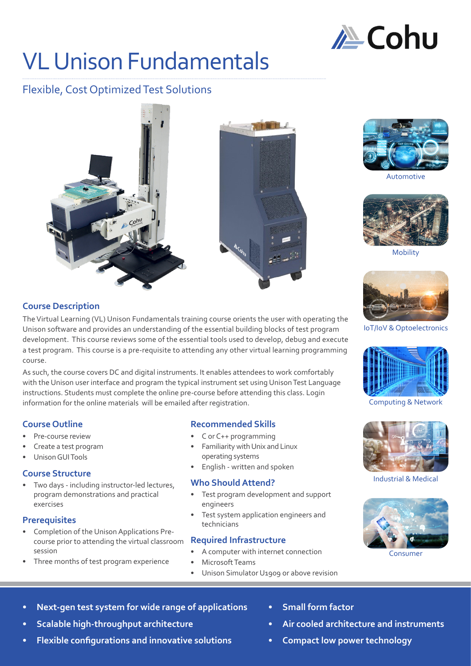

# VL Unison Fundamentals

# Flexible, Cost Optimized Test Solutions





Automotive



Mobility



IoT/IoV & Optoelectronics



Computing & Network



Industrial & Medical



Consumer

**Course Description**

The Virtual Learning (VL) Unison Fundamentals training course orients the user with operating the Unison software and provides an understanding of the essential building blocks of test program development. This course reviews some of the essential tools used to develop, debug and execute a test program. This course is a pre-requisite to attending any other virtual learning programming course.

As such, the course covers DC and digital instruments. It enables attendees to work comfortably with the Unison user interface and program the typical instrument set using Unison Test Language instructions. Students must complete the online pre-course before attending this class. Login information for the online materials will be emailed after registration.

# **Course Outline**

- Pre-course review
- Create a test program
- Unison GUI Tools

#### **Course Structure**

• Two days - including instructor-led lectures, program demonstrations and practical exercises

## **Prerequisites**

- Completion of the Unison Applications Precourse prior to attending the virtual classroom session
- Three months of test program experience

## **Recommended Skills**

- C or C++ programming $\Phi$
- operating systems
- English written and spoken

## **Who Should Attend?**

- engineers
- Test system application engineers and technicians

#### **Required Infrastructure**

- A computer with internet connection
- Microsoft Teams
- Unison Simulator U1909 or above revision
- **• Next-gen test system for wide range of applications**
- **• Scalable high-throughput architecture**
- **• Flexible configurations and innovative solutions**
- **• Small form factor**
- **• Air cooled architecture and instruments**
- **• Compact low power technology**



- Test program development and support
- 

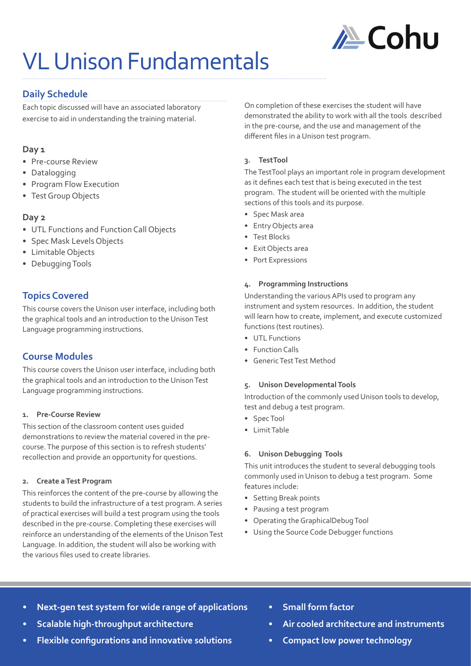

# VL Unison Fundamentals

# **Daily Schedule**

Each topic discussed will have an associated laboratory exercise to aid in understanding the training material.

# **Day 1**

- Pre-course Review
- Datalogging
- Program Flow Execution
- Test Group Objects

# **Day 2**

- UTL Functions and Function Call Objects
- Spec Mask Levels Objects
- Limitable Objects
- Debugging Tools

# **Topics Covered**

This course covers the Unison user interface, including both the graphical tools and an introduction to the Unison Test Language programming instructions.

# **Course Modules**

This course covers the Unison user interface, including both the graphical tools and an introduction to the Unison Test Language programming instructions.

## **1. Pre-Course Review**

This section of the classroom content uses guided demonstrations to review the material covered in the precourse. The purpose of this section is to refresh students' recollection and provide an opportunity for questions.

#### **2. Create a Test Program**

This reinforces the content of the pre-course by allowing the students to build the infrastructure of a test program. A series of practical exercises will build a test program using the tools described in the pre-course. Completing these exercises will reinforce an understanding of the elements of the Unison Test Language. In addition, the student will also be working with the various files used to create libraries.

On completion of these exercises the student will have demonstrated the ability to work with all the tools described in the pre-course, and the use and management of the different files in a Unison test program.

## **3. TestTool**

The TestTool plays an important role in program development as it defines each test that is being executed in the test program. The student will be oriented with the multiple sections of this tools and its purpose.

- Spec Mask area
- Entry Objects area
- Test Blocks
- Exit Objects area
- Port Expressions

## **4. Programming Instructions**

Understanding the various APIs used to program any instrument and system resources. In addition, the student will learn how to create, implement, and execute customized functions (test routines).

- UTL Functions
- Function Calls
- Generic Test Test Method

#### **5. Unison Developmental Tools**

Introduction of the commonly used Unison tools to develop, test and debug a test program.

- Spec Tool
- Limit Table

## **6. Unison Debugging Tools**

This unit introduces the student to several debugging tools commonly used in Unison to debug a test program. Some features include:

- Setting Break points
- Pausing a test program
- Operating the GraphicalDebug Tool
- Using the Source Code Debugger functions
- **• Next-gen test system for wide range of applications**
- **• Scalable high-throughput architecture**
- **• Flexible configurations and innovative solutions**
- **• Small form factor**
- **• Air cooled architecture and instruments**
- **• Compact low power technology**